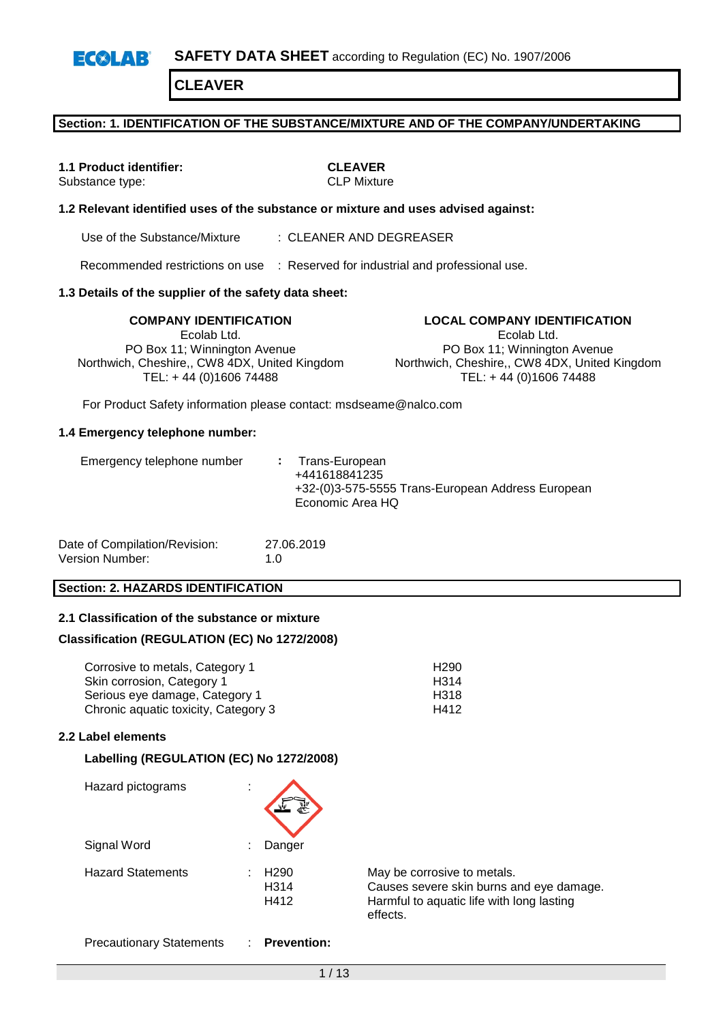### **Section: 1. IDENTIFICATION OF THE SUBSTANCE/MIXTURE AND OF THE COMPANY/UNDERTAKING**

**1.1 Product identifier: CLEAVER**<br>
Substance type: **CLP** Mixture Substance type:

### **1.2 Relevant identified uses of the substance or mixture and uses advised against:**

Use of the Substance/Mixture : CLEANER AND DEGREASER

Recommended restrictions on use : Reserved for industrial and professional use.

#### **1.3 Details of the supplier of the safety data sheet:**

**COMPANY IDENTIFICATION LOCAL COMPANY IDENTIFICATION** Ecolab Ltd. PO Box 11; Winnington Avenue Northwich, Cheshire,, CW8 4DX, United Kingdom TEL: + 44 (0)1606 74488

Ecolab Ltd. PO Box 11; Winnington Avenue Northwich, Cheshire,, CW8 4DX, United Kingdom TEL: + 44 (0)1606 74488

For Product Safety information please contact: msdseame@nalco.com

#### **1.4 Emergency telephone number:**

| Date of Compilation/Revision: | 27.06.2019  |
|-------------------------------|-------------|
| Version Number:               | 1. $\Omega$ |

### **Section: 2. HAZARDS IDENTIFICATION**

### **2.1 Classification of the substance or mixture**

#### **Classification (REGULATION (EC) No 1272/2008)**

| Corrosive to metals, Category 1      | H <sub>290</sub> |
|--------------------------------------|------------------|
| Skin corrosion, Category 1           | H314             |
| Serious eye damage, Category 1       | H318             |
| Chronic aquatic toxicity, Category 3 | H412             |

### **2.2 Label elements**

### **Labelling (REGULATION (EC) No 1272/2008)**

| Hazard pictograms        | ٠<br>$\overline{\phantom{a}}$ |                                               |                                                                                                                                  |
|--------------------------|-------------------------------|-----------------------------------------------|----------------------------------------------------------------------------------------------------------------------------------|
| Signal Word              | ٠                             | Danger                                        |                                                                                                                                  |
| <b>Hazard Statements</b> | ٠                             | H <sub>290</sub><br>H <sub>3</sub> 14<br>H412 | May be corrosive to metals.<br>Causes severe skin burns and eye damage.<br>Harmful to aquatic life with long lasting<br>effects. |

Precautionary Statements : **Prevention:**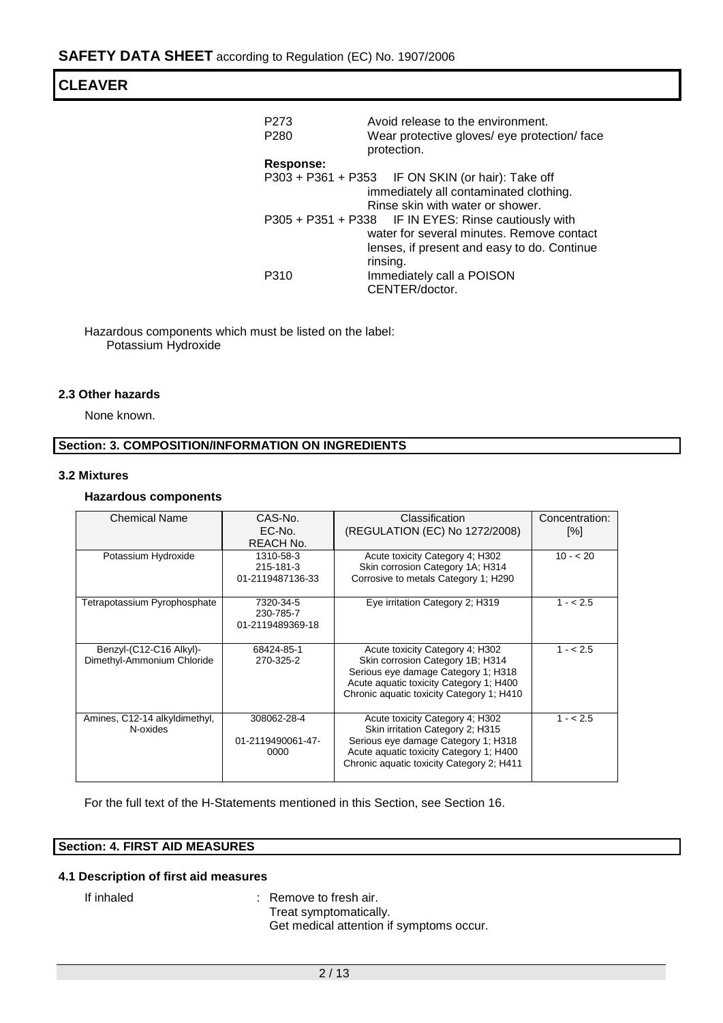| P273<br>P <sub>280</sub>                    | Avoid release to the environment.<br>Wear protective gloves/ eye protection/ face<br>protection. |  |  |
|---------------------------------------------|--------------------------------------------------------------------------------------------------|--|--|
| <b>Response:</b>                            |                                                                                                  |  |  |
|                                             | P303 + P361 + P353 IF ON SKIN (or hair): Take off                                                |  |  |
|                                             | immediately all contaminated clothing.                                                           |  |  |
|                                             | Rinse skin with water or shower.                                                                 |  |  |
|                                             | P305 + P351 + P338 IF IN EYES: Rinse cautiously with                                             |  |  |
| water for several minutes. Remove contact   |                                                                                                  |  |  |
| lenses, if present and easy to do. Continue |                                                                                                  |  |  |
|                                             | rinsing.                                                                                         |  |  |
| P310                                        | Immediately call a POISON                                                                        |  |  |
|                                             | CENTER/doctor.                                                                                   |  |  |

Hazardous components which must be listed on the label: Potassium Hydroxide

## **2.3 Other hazards**

None known.

## **Section: 3. COMPOSITION/INFORMATION ON INGREDIENTS**

### **3.2 Mixtures**

### **Hazardous components**

| <b>Chemical Name</b>                                  | CAS-No.<br>EC-No.<br>REACH No.             | Classification<br>(REGULATION (EC) No 1272/2008)                                                                                                                                                   | Concentration:<br>[%] |
|-------------------------------------------------------|--------------------------------------------|----------------------------------------------------------------------------------------------------------------------------------------------------------------------------------------------------|-----------------------|
| Potassium Hydroxide                                   | 1310-58-3<br>215-181-3<br>01-2119487136-33 | Acute toxicity Category 4; H302<br>Skin corrosion Category 1A; H314<br>Corrosive to metals Category 1; H290                                                                                        | $10 - 20$             |
| Tetrapotassium Pyrophosphate                          | 7320-34-5<br>230-785-7<br>01-2119489369-18 | Eye irritation Category 2; H319                                                                                                                                                                    | $1 - 2.5$             |
| Benzyl-(C12-C16 Alkyl)-<br>Dimethyl-Ammonium Chloride | 68424-85-1<br>270-325-2                    | Acute toxicity Category 4; H302<br>Skin corrosion Category 1B; H314<br>Serious eye damage Category 1; H318<br>Acute aquatic toxicity Category 1; H400<br>Chronic aquatic toxicity Category 1; H410 | $1 - 2.5$             |
| Amines, C12-14 alkyldimethyl,<br>N-oxides             | 308062-28-4<br>01-2119490061-47-<br>0000   | Acute toxicity Category 4; H302<br>Skin irritation Category 2; H315<br>Serious eye damage Category 1; H318<br>Acute aquatic toxicity Category 1; H400<br>Chronic aquatic toxicity Category 2; H411 | $1 - 2.5$             |

For the full text of the H-Statements mentioned in this Section, see Section 16.

## **Section: 4. FIRST AID MEASURES**

## **4.1 Description of first aid measures**

If inhaled : Remove to fresh air. Treat symptomatically. Get medical attention if symptoms occur.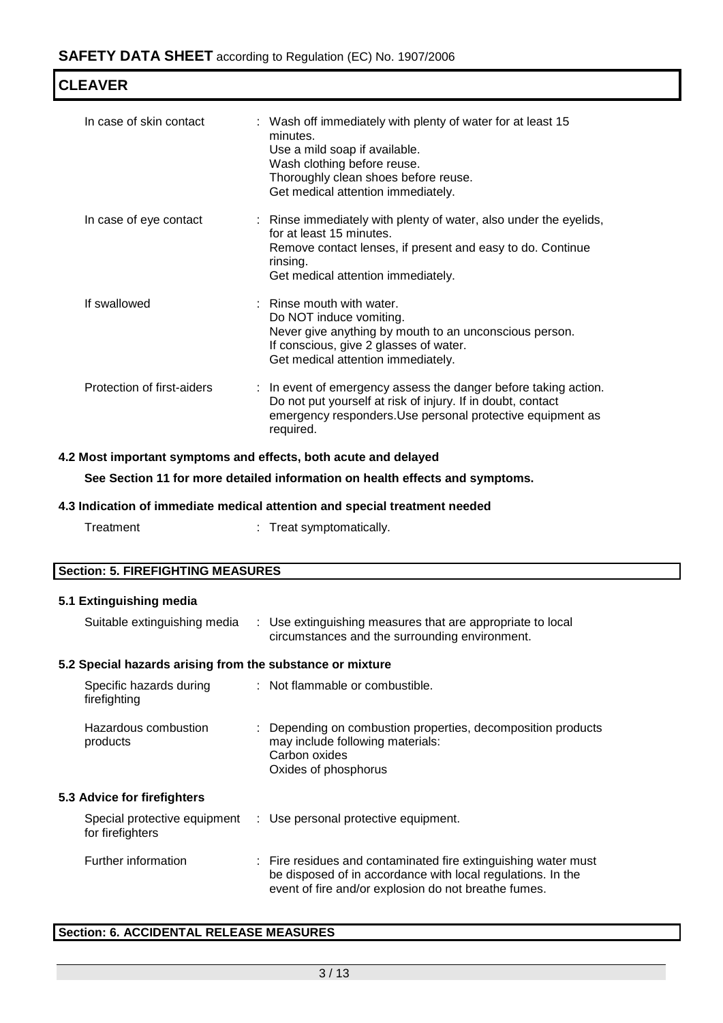| <b>CLEAVER</b>             |                                                                                                                                                                                                                       |  |  |
|----------------------------|-----------------------------------------------------------------------------------------------------------------------------------------------------------------------------------------------------------------------|--|--|
| In case of skin contact    | : Wash off immediately with plenty of water for at least 15<br>minutes.<br>Use a mild soap if available.<br>Wash clothing before reuse.<br>Thoroughly clean shoes before reuse.<br>Get medical attention immediately. |  |  |
| In case of eye contact     | : Rinse immediately with plenty of water, also under the eyelids,<br>for at least 15 minutes.<br>Remove contact lenses, if present and easy to do. Continue<br>rinsing.<br>Get medical attention immediately.         |  |  |
| If swallowed               | : Rinse mouth with water.<br>Do NOT induce vomiting.<br>Never give anything by mouth to an unconscious person.<br>If conscious, give 2 glasses of water.<br>Get medical attention immediately.                        |  |  |
| Protection of first-aiders | : In event of emergency assess the danger before taking action.<br>Do not put yourself at risk of injury. If in doubt, contact<br>emergency responders. Use personal protective equipment as<br>required.             |  |  |

### **4.2 Most important symptoms and effects, both acute and delayed**

**See Section 11 for more detailed information on health effects and symptoms.**

### **4.3 Indication of immediate medical attention and special treatment needed**

Treatment : Treat symptomatically.

| <b>Section: 5. FIREFIGHTING MEASURES</b> |                                                          |  |  |
|------------------------------------------|----------------------------------------------------------|--|--|
| 5.1 Extinguishing media                  |                                                          |  |  |
| Suitable extinguishing media             | Use extinguishing measures that are appropriate to local |  |  |

circumstances and the surrounding environment.

# **5.2 Special hazards arising from the substance or mixture**

| Specific hazards during<br>firefighting          | : Not flammable or combustible.                                                                                                                                                       |
|--------------------------------------------------|---------------------------------------------------------------------------------------------------------------------------------------------------------------------------------------|
| Hazardous combustion<br>products                 | Depending on combustion properties, decomposition products<br>may include following materials:<br>Carbon oxides<br>Oxides of phosphorus                                               |
| <b>5.3 Advice for firefighters</b>               |                                                                                                                                                                                       |
| Special protective equipment<br>for firefighters | : Use personal protective equipment.                                                                                                                                                  |
| Further information                              | : Fire residues and contaminated fire extinguishing water must<br>be disposed of in accordance with local regulations. In the<br>event of fire and/or explosion do not breathe fumes. |

## **Section: 6. ACCIDENTAL RELEASE MEASURES**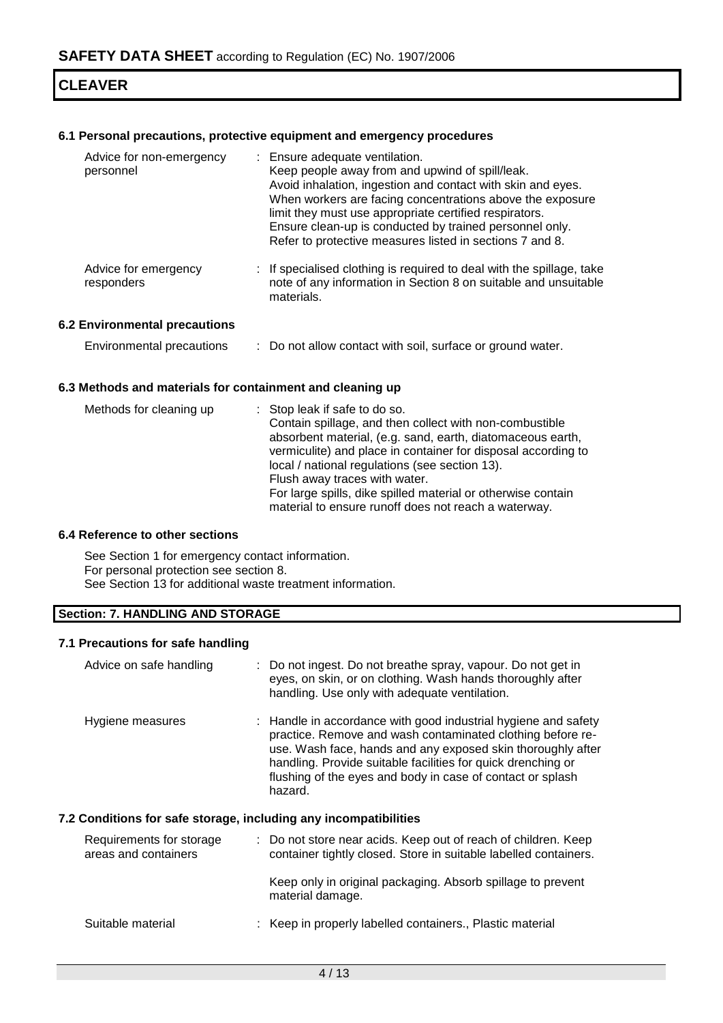## **6.1 Personal precautions, protective equipment and emergency procedures**

| Advice for non-emergency<br>personnel | : Ensure adequate ventilation.<br>Keep people away from and upwind of spill/leak.<br>Avoid inhalation, ingestion and contact with skin and eyes.<br>When workers are facing concentrations above the exposure<br>limit they must use appropriate certified respirators.<br>Ensure clean-up is conducted by trained personnel only.<br>Refer to protective measures listed in sections 7 and 8. |
|---------------------------------------|------------------------------------------------------------------------------------------------------------------------------------------------------------------------------------------------------------------------------------------------------------------------------------------------------------------------------------------------------------------------------------------------|
| Advice for emergency<br>responders    | : If specialised clothing is required to deal with the spillage, take<br>note of any information in Section 8 on suitable and unsuitable<br>materials.                                                                                                                                                                                                                                         |

### **6.2 Environmental precautions**

| <b>Environmental precautions</b> | Do not allow contact with soil, surface or ground water. |  |
|----------------------------------|----------------------------------------------------------|--|
|----------------------------------|----------------------------------------------------------|--|

### **6.3 Methods and materials for containment and cleaning up**

### **6.4 Reference to other sections**

See Section 1 for emergency contact information. For personal protection see section 8. See Section 13 for additional waste treatment information.

## **Section: 7. HANDLING AND STORAGE**

## **7.1 Precautions for safe handling**

| Advice on safe handling                                          | : Do not ingest. Do not breathe spray, vapour. Do not get in<br>eyes, on skin, or on clothing. Wash hands thoroughly after<br>handling. Use only with adequate ventilation.                                                                                                                                                          |
|------------------------------------------------------------------|--------------------------------------------------------------------------------------------------------------------------------------------------------------------------------------------------------------------------------------------------------------------------------------------------------------------------------------|
| Hygiene measures                                                 | : Handle in accordance with good industrial hygiene and safety<br>practice. Remove and wash contaminated clothing before re-<br>use. Wash face, hands and any exposed skin thoroughly after<br>handling. Provide suitable facilities for quick drenching or<br>flushing of the eyes and body in case of contact or splash<br>hazard. |
| 7.2 Conditions for safe storage, including any incompatibilities |                                                                                                                                                                                                                                                                                                                                      |
| Requirements for storage<br>areas and containers                 | : Do not store near acids. Keep out of reach of children. Keep<br>container tightly closed. Store in suitable labelled containers.                                                                                                                                                                                                   |
|                                                                  | Keep only in original packaging. Absorb spillage to prevent<br>material damage.                                                                                                                                                                                                                                                      |
| Suitable material                                                | Keep in properly labelled containers., Plastic material                                                                                                                                                                                                                                                                              |
|                                                                  |                                                                                                                                                                                                                                                                                                                                      |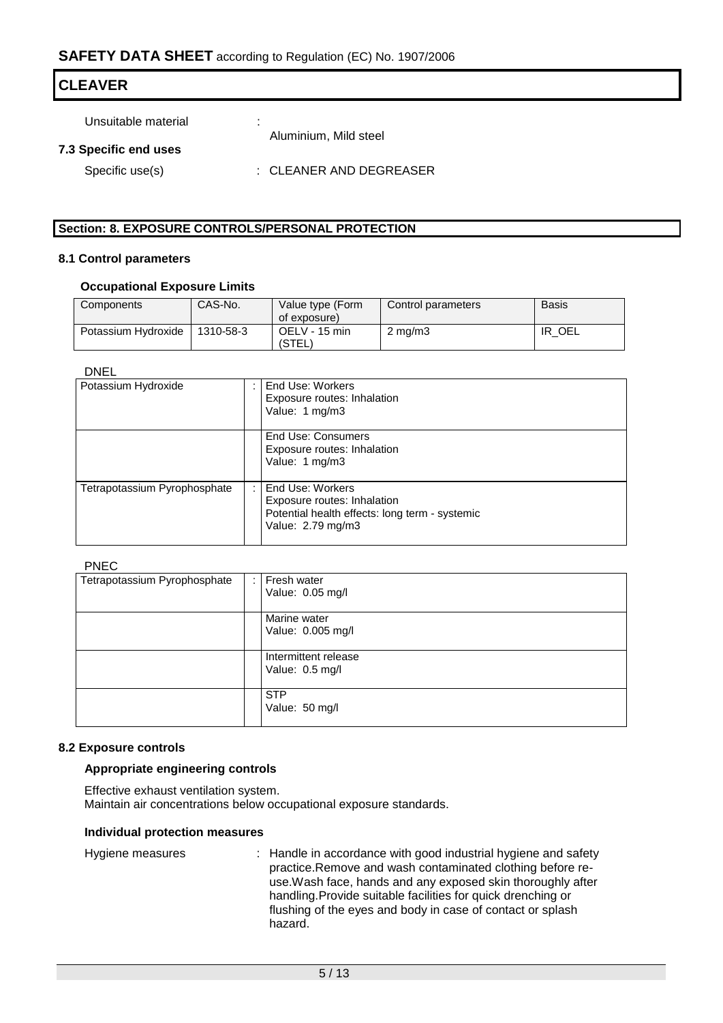| <b>CLEAVER</b>        |                              |  |  |  |
|-----------------------|------------------------------|--|--|--|
| Unsuitable material   | . .<br>Aluminium, Mild steel |  |  |  |
| 7.3 Specific end uses |                              |  |  |  |
| Specific use(s)       | : CLEANER AND DEGREASER      |  |  |  |

## **Section: 8. EXPOSURE CONTROLS/PERSONAL PROTECTION**

#### **8.1 Control parameters**

### **Occupational Exposure Limits**

| Components          | CAS-No.   | Value type (Form<br>of exposure) | Control parameters | <b>Basis</b> |
|---------------------|-----------|----------------------------------|--------------------|--------------|
| Potassium Hydroxide | 1310-58-3 | OELV - 15 min<br>(STEL)          | $2 \text{ mg/m}$   | OEL<br>IR    |

### DNEL

| Potassium Hydroxide          | End Use: Workers<br>Exposure routes: Inhalation<br>Value: 1 mg/m3                                                      |
|------------------------------|------------------------------------------------------------------------------------------------------------------------|
|                              | End Use: Consumers<br>Exposure routes: Inhalation<br>Value: 1 mg/m3                                                    |
| Tetrapotassium Pyrophosphate | End Use: Workers<br>Exposure routes: Inhalation<br>Potential health effects: long term - systemic<br>Value: 2.79 mg/m3 |

### PNEC

| Tetrapotassium Pyrophosphate |  | Fresh water          |  |  |
|------------------------------|--|----------------------|--|--|
|                              |  | Value: 0.05 mg/l     |  |  |
|                              |  |                      |  |  |
|                              |  | Marine water         |  |  |
|                              |  | Value: 0.005 mg/l    |  |  |
|                              |  |                      |  |  |
|                              |  | Intermittent release |  |  |
|                              |  | Value: 0.5 mg/l      |  |  |
|                              |  |                      |  |  |
|                              |  | <b>STP</b>           |  |  |
|                              |  | Value: 50 mg/l       |  |  |
|                              |  |                      |  |  |

## **8.2 Exposure controls**

### **Appropriate engineering controls**

Effective exhaust ventilation system. Maintain air concentrations below occupational exposure standards.

### **Individual protection measures**

| Hygiene measures |  | : Handle in accordance with good industrial hygiene and safety<br>practice. Remove and wash contaminated clothing before re-<br>use. Wash face, hands and any exposed skin thoroughly after<br>handling. Provide suitable facilities for quick drenching or<br>flushing of the eyes and body in case of contact or splash<br>hazard. |
|------------------|--|--------------------------------------------------------------------------------------------------------------------------------------------------------------------------------------------------------------------------------------------------------------------------------------------------------------------------------------|
|------------------|--|--------------------------------------------------------------------------------------------------------------------------------------------------------------------------------------------------------------------------------------------------------------------------------------------------------------------------------------|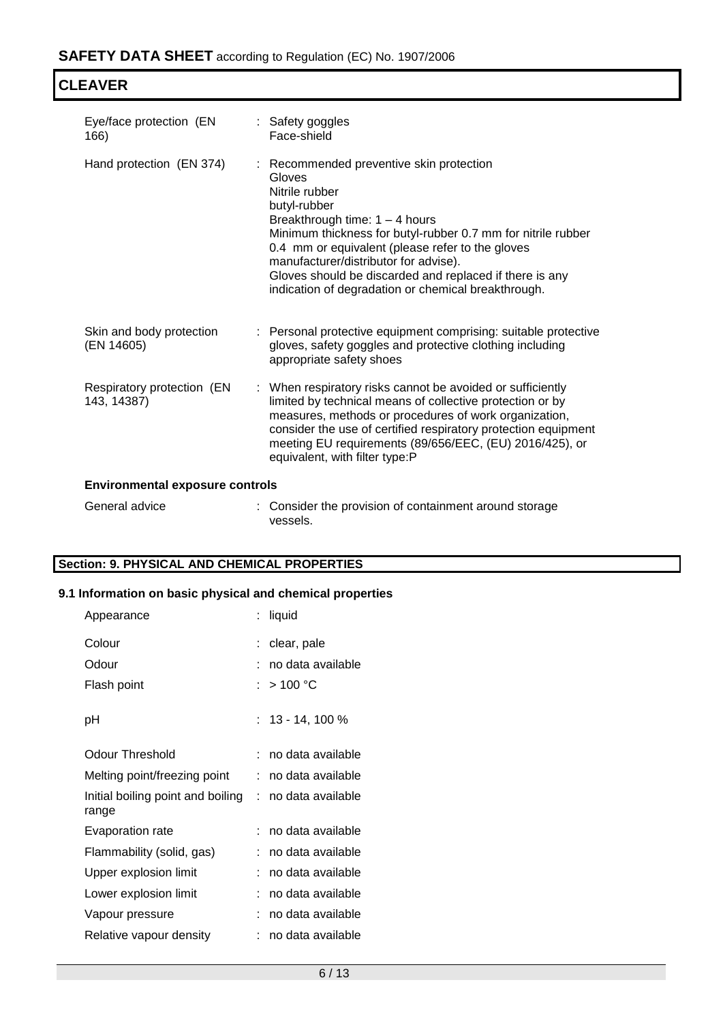| Eye/face protection (EN<br>166)           | : Safety goggles<br>Face-shield                                                                                                                                                                                                                                                                                                                                                                         |  |  |
|-------------------------------------------|---------------------------------------------------------------------------------------------------------------------------------------------------------------------------------------------------------------------------------------------------------------------------------------------------------------------------------------------------------------------------------------------------------|--|--|
| Hand protection (EN 374)                  | : Recommended preventive skin protection<br>Gloves<br>Nitrile rubber<br>butyl-rubber<br>Breakthrough time: $1 - 4$ hours<br>Minimum thickness for butyl-rubber 0.7 mm for nitrile rubber<br>0.4 mm or equivalent (please refer to the gloves<br>manufacturer/distributor for advise).<br>Gloves should be discarded and replaced if there is any<br>indication of degradation or chemical breakthrough. |  |  |
| Skin and body protection<br>(EN 14605)    | : Personal protective equipment comprising: suitable protective<br>gloves, safety goggles and protective clothing including<br>appropriate safety shoes                                                                                                                                                                                                                                                 |  |  |
| Respiratory protection (EN<br>143, 14387) | : When respiratory risks cannot be avoided or sufficiently<br>limited by technical means of collective protection or by<br>measures, methods or procedures of work organization,<br>consider the use of certified respiratory protection equipment<br>meeting EU requirements (89/656/EEC, (EU) 2016/425), or<br>equivalent, with filter type:P                                                         |  |  |
| <b>Environmental exposure controls</b>    |                                                                                                                                                                                                                                                                                                                                                                                                         |  |  |

| General advice | : Consider the provision of containment around storage |
|----------------|--------------------------------------------------------|
|                | vessels.                                               |

## **Section: 9. PHYSICAL AND CHEMICAL PROPERTIES**

# **9.1 Information on basic physical and chemical properties**

| Appearance                                 | liquid              |
|--------------------------------------------|---------------------|
| Colour                                     | clear, pale         |
| Odour                                      | no data available   |
| Flash point                                | : $>100\degree$ C   |
| рH                                         | $: 13 - 14, 100 %$  |
| Odour Threshold                            | : no data available |
| Melting point/freezing point               | no data available   |
| Initial boiling point and boiling<br>range | : no data available |
| Evaporation rate                           | no data available   |
| Flammability (solid, gas)                  | no data available   |
| Upper explosion limit                      | no data available   |
| Lower explosion limit                      | no data available   |
| Vapour pressure                            | no data available   |
| Relative vapour density                    | no data available   |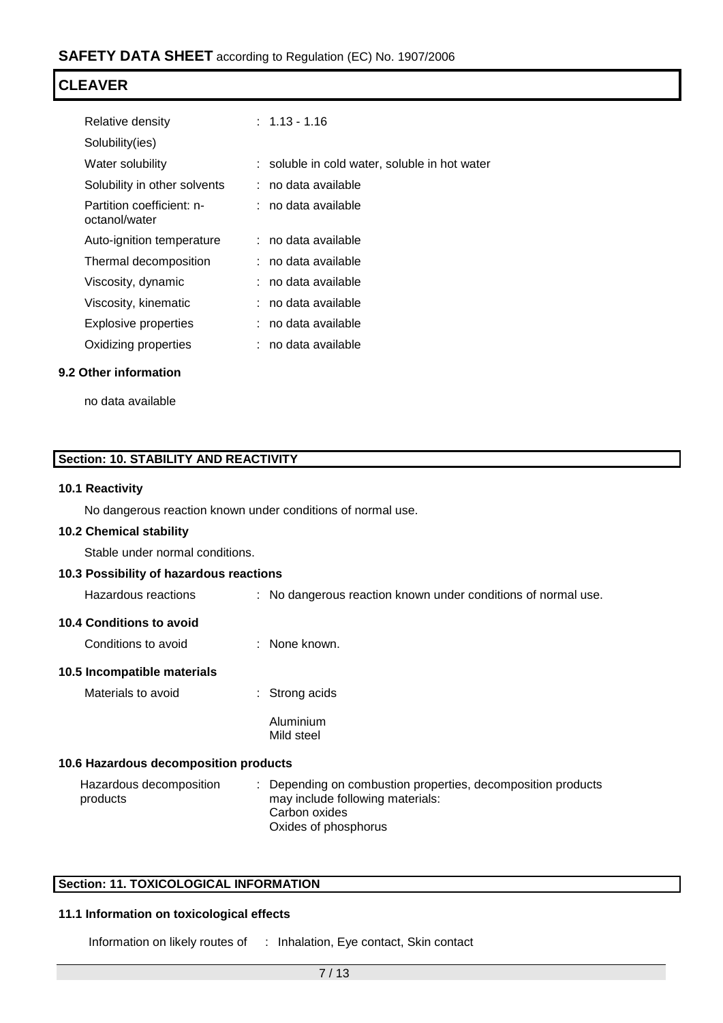| Relative density                           | $: 1.13 - 1.16$                               |
|--------------------------------------------|-----------------------------------------------|
| Solubility(ies)                            |                                               |
| Water solubility                           | : soluble in cold water, soluble in hot water |
| Solubility in other solvents               | : no data available                           |
| Partition coefficient: n-<br>octanol/water | : no data available                           |
| Auto-ignition temperature                  | : no data available                           |
| Thermal decomposition                      | : no data available                           |
| Viscosity, dynamic                         | no data available                             |
| Viscosity, kinematic                       | no data available                             |
| Explosive properties                       | no data available                             |
| Oxidizing properties                       | no data available                             |
|                                            |                                               |

## **9.2 Other information**

no data available

## **Section: 10. STABILITY AND REACTIVITY**

## **10.1 Reactivity**

No dangerous reaction known under conditions of normal use.

### **10.2 Chemical stability**

Stable under normal conditions.

## **10.3 Possibility of hazardous reactions**

Hazardous reactions : No dangerous reaction known under conditions of normal use.

## **10.4 Conditions to avoid**

| Conditions to avoid | None known. |
|---------------------|-------------|
|                     |             |

## **10.5 Incompatible materials**

Materials to avoid : Strong acids

Aluminium Mild steel

## **10.6 Hazardous decomposition products**

| Hazardous decomposition | : Depending on combustion properties, decomposition products |
|-------------------------|--------------------------------------------------------------|
| products                | may include following materials:                             |
|                         | Carbon oxides                                                |
|                         | Oxides of phosphorus                                         |

## **Section: 11. TOXICOLOGICAL INFORMATION**

## **11.1 Information on toxicological effects**

Information on likely routes of : Inhalation, Eye contact, Skin contact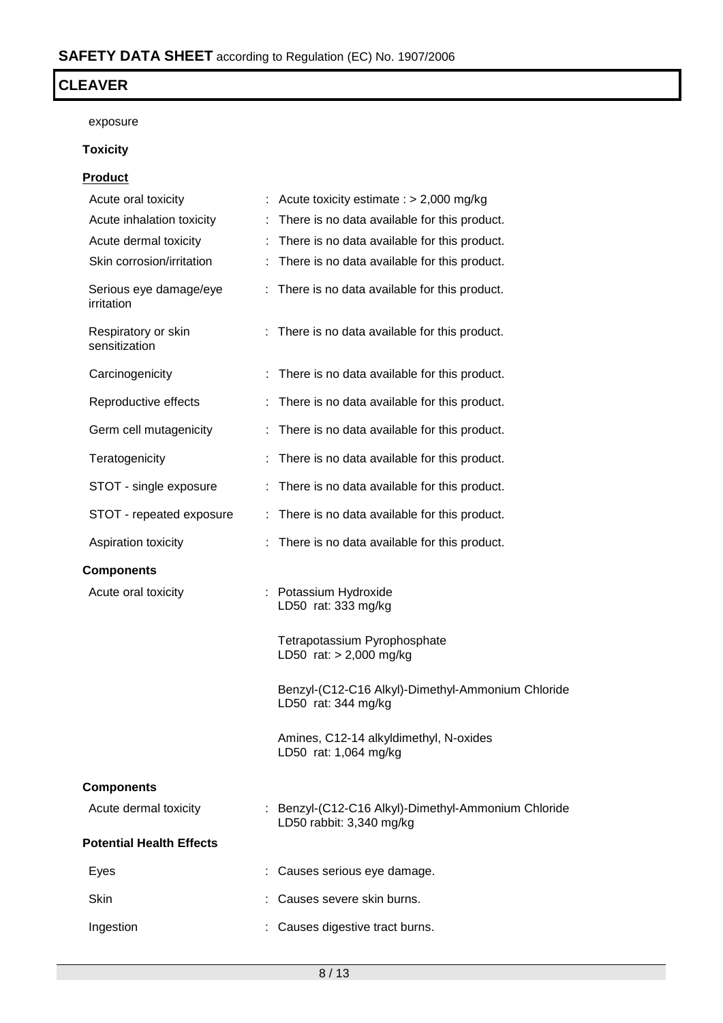exposure

# **Toxicity**

## **Product**

| Acute oral toxicity                  |    | Acute toxicity estimate : $> 2,000$ mg/kg                                       |
|--------------------------------------|----|---------------------------------------------------------------------------------|
| Acute inhalation toxicity            | ÷. | There is no data available for this product.                                    |
| Acute dermal toxicity                |    | : There is no data available for this product.                                  |
| Skin corrosion/irritation            |    | There is no data available for this product.                                    |
| Serious eye damage/eye<br>irritation | ÷. | There is no data available for this product.                                    |
| Respiratory or skin<br>sensitization |    | : There is no data available for this product.                                  |
| Carcinogenicity                      |    | There is no data available for this product.                                    |
| Reproductive effects                 |    | : There is no data available for this product.                                  |
| Germ cell mutagenicity               |    | : There is no data available for this product.                                  |
| Teratogenicity                       |    | There is no data available for this product.                                    |
| STOT - single exposure               |    | : There is no data available for this product.                                  |
| STOT - repeated exposure             |    | : There is no data available for this product.                                  |
| Aspiration toxicity                  |    | There is no data available for this product.                                    |
| <b>Components</b>                    |    |                                                                                 |
| Acute oral toxicity                  |    | : Potassium Hydroxide<br>LD50 rat: 333 mg/kg                                    |
|                                      |    | Tetrapotassium Pyrophosphate<br>LD50 rat: $> 2,000$ mg/kg                       |
|                                      |    | Benzyl-(C12-C16 Alkyl)-Dimethyl-Ammonium Chloride<br>LD50 rat: 344 mg/kg        |
|                                      |    | Amines, C12-14 alkyldimethyl, N-oxides<br>LD50 rat: 1,064 mg/kg                 |
| <b>Components</b>                    |    |                                                                                 |
| Acute dermal toxicity                |    | : Benzyl-(C12-C16 Alkyl)-Dimethyl-Ammonium Chloride<br>LD50 rabbit: 3,340 mg/kg |
| <b>Potential Health Effects</b>      |    |                                                                                 |
| Eyes                                 |    | Causes serious eye damage.                                                      |
| Skin                                 |    | Causes severe skin burns.                                                       |
| Ingestion                            |    | Causes digestive tract burns.                                                   |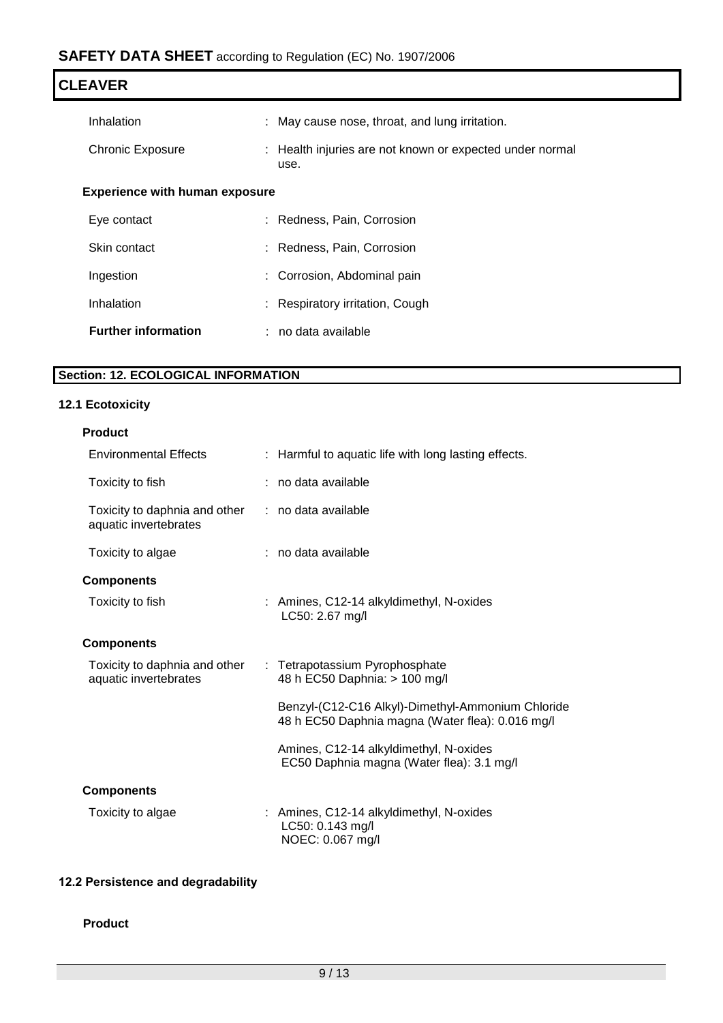| <b>CLEAVER</b>                        |                                                                  |  |
|---------------------------------------|------------------------------------------------------------------|--|
| Inhalation                            | : May cause nose, throat, and lung irritation.                   |  |
| <b>Chronic Exposure</b>               | : Health injuries are not known or expected under normal<br>use. |  |
| <b>Experience with human exposure</b> |                                                                  |  |
| Eye contact                           | : Redness, Pain, Corrosion                                       |  |
| Skin contact                          | : Redness, Pain, Corrosion                                       |  |
| Ingestion                             | : Corrosion, Abdominal pain                                      |  |
| Inhalation                            | : Respiratory irritation, Cough                                  |  |
| <b>Further information</b>            | $:$ no data available                                            |  |

# **Section: 12. ECOLOGICAL INFORMATION**

# **12.1 Ecotoxicity**

| <b>Environmental Effects</b>                           | : Harmful to aquatic life with long lasting effects.                                                  |
|--------------------------------------------------------|-------------------------------------------------------------------------------------------------------|
| Toxicity to fish                                       | : no data available                                                                                   |
| Toxicity to daphnia and other<br>aquatic invertebrates | : no data available                                                                                   |
| Toxicity to algae                                      | : no data available                                                                                   |
| <b>Components</b>                                      |                                                                                                       |
| Toxicity to fish                                       | : Amines, C12-14 alkyldimethyl, N-oxides<br>LC50: 2.67 mg/l                                           |
| <b>Components</b>                                      |                                                                                                       |
| Toxicity to daphnia and other<br>aquatic invertebrates | : Tetrapotassium Pyrophosphate<br>48 h EC50 Daphnia: > 100 mg/l                                       |
|                                                        | Benzyl-(C12-C16 Alkyl)-Dimethyl-Ammonium Chloride<br>48 h EC50 Daphnia magna (Water flea): 0.016 mg/l |
|                                                        | Amines, C12-14 alkyldimethyl, N-oxides<br>EC50 Daphnia magna (Water flea): 3.1 mg/l                   |
| <b>Components</b>                                      |                                                                                                       |
| Toxicity to algae                                      | : Amines, C12-14 alkyldimethyl, N-oxides<br>LC50: 0.143 mg/l<br>NOEC: 0.067 mg/l                      |

# **12.2 Persistence and degradability**

## **Product**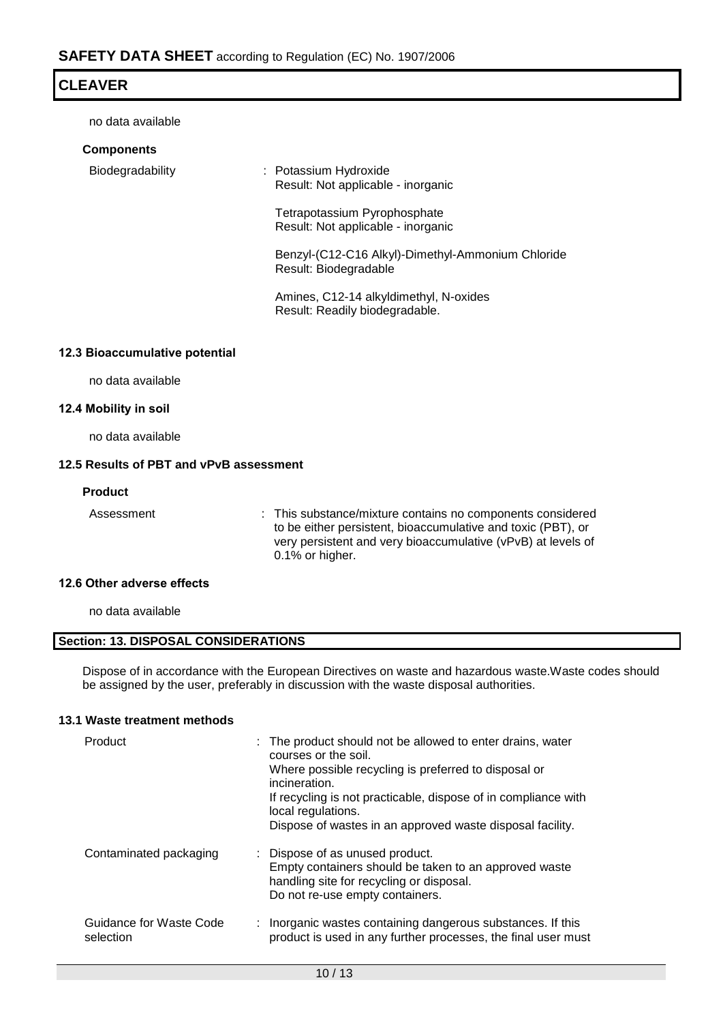no data available

| <b>Components</b> |                                                                            |
|-------------------|----------------------------------------------------------------------------|
| Biodegradability  | : Potassium Hydroxide<br>Result: Not applicable - inorganic                |
|                   | Tetrapotassium Pyrophosphate<br>Result: Not applicable - inorganic         |
|                   | Benzyl-(C12-C16 Alkyl)-Dimethyl-Ammonium Chloride<br>Result: Biodegradable |
|                   | Amines, C12-14 alkyldimethyl, N-oxides<br>Result: Readily biodegradable.   |
|                   |                                                                            |

## **12.3 Bioaccumulative potential**

no data available

## **12.4 Mobility in soil**

no data available

## **12.5 Results of PBT and vPvB assessment**

## **Product**

Assessment : This substance/mixture contains no components considered to be either persistent, bioaccumulative and toxic (PBT), or very persistent and very bioaccumulative (vPvB) at levels of 0.1% or higher.

## **12.6 Other adverse effects**

no data available

## **Section: 13. DISPOSAL CONSIDERATIONS**

Dispose of in accordance with the European Directives on waste and hazardous waste.Waste codes should be assigned by the user, preferably in discussion with the waste disposal authorities.

## **13.1 Waste treatment methods**

| Product                              | : The product should not be allowed to enter drains, water<br>courses or the soil.<br>Where possible recycling is preferred to disposal or<br>incineration.<br>If recycling is not practicable, dispose of in compliance with<br>local regulations.<br>Dispose of wastes in an approved waste disposal facility. |  |
|--------------------------------------|------------------------------------------------------------------------------------------------------------------------------------------------------------------------------------------------------------------------------------------------------------------------------------------------------------------|--|
| Contaminated packaging               | : Dispose of as unused product.<br>Empty containers should be taken to an approved waste<br>handling site for recycling or disposal.<br>Do not re-use empty containers.                                                                                                                                          |  |
| Guidance for Waste Code<br>selection | : Inorganic wastes containing dangerous substances. If this<br>product is used in any further processes, the final user must                                                                                                                                                                                     |  |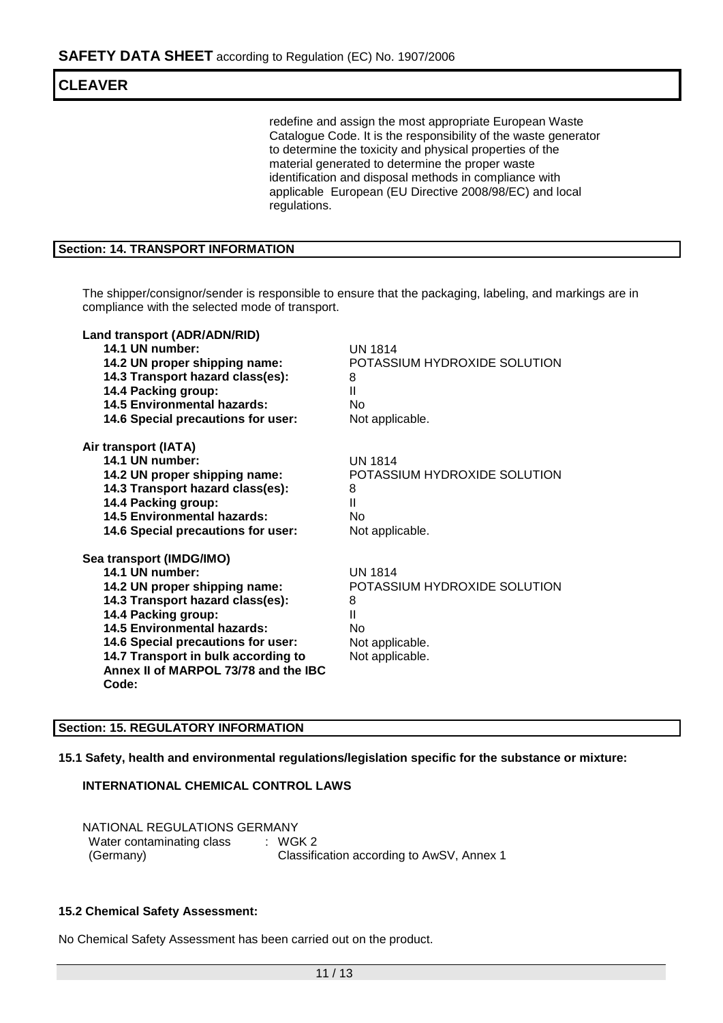redefine and assign the most appropriate European Waste Catalogue Code. It is the responsibility of the waste generator to determine the toxicity and physical properties of the material generated to determine the proper waste identification and disposal methods in compliance with applicable European (EU Directive 2008/98/EC) and local regulations.

## **Section: 14. TRANSPORT INFORMATION**

The shipper/consignor/sender is responsible to ensure that the packaging, labeling, and markings are in compliance with the selected mode of transport.

| Land transport (ADR/ADN/RID)<br>14.1 UN number:<br>14.2 UN proper shipping name:<br>14.3 Transport hazard class(es):<br>14.4 Packing group:<br><b>14.5 Environmental hazards:</b><br>14.6 Special precautions for user:                                                                              | UN 1814<br>POTASSIUM HYDROXIDE SOLUTION<br>8<br>Ш<br>No<br>Not applicable.                           |
|------------------------------------------------------------------------------------------------------------------------------------------------------------------------------------------------------------------------------------------------------------------------------------------------------|------------------------------------------------------------------------------------------------------|
| Air transport (IATA)<br>14.1 UN number:<br>14.2 UN proper shipping name:<br>14.3 Transport hazard class(es):<br>14.4 Packing group:<br>14.5 Environmental hazards:<br>14.6 Special precautions for user:                                                                                             | <b>UN 1814</b><br>POTASSIUM HYDROXIDE SOLUTION<br>8<br>Ш<br>No<br>Not applicable.                    |
| Sea transport (IMDG/IMO)<br>14.1 UN number:<br>14.2 UN proper shipping name:<br>14.3 Transport hazard class(es):<br>14.4 Packing group:<br>14.5 Environmental hazards:<br>14.6 Special precautions for user:<br>14.7 Transport in bulk according to<br>Annex II of MARPOL 73/78 and the IBC<br>Code: | <b>UN 1814</b><br>POTASSIUM HYDROXIDE SOLUTION<br>8<br>Ш<br>No<br>Not applicable.<br>Not applicable. |

## **Section: 15. REGULATORY INFORMATION**

**15.1 Safety, health and environmental regulations/legislation specific for the substance or mixture:**

### **INTERNATIONAL CHEMICAL CONTROL LAWS**

NATIONAL REGULATIONS GERMANY Water contaminating class [168] WGK 2 (Germany) Classification according to AwSV, Annex 1

### **15.2 Chemical Safety Assessment:**

No Chemical Safety Assessment has been carried out on the product.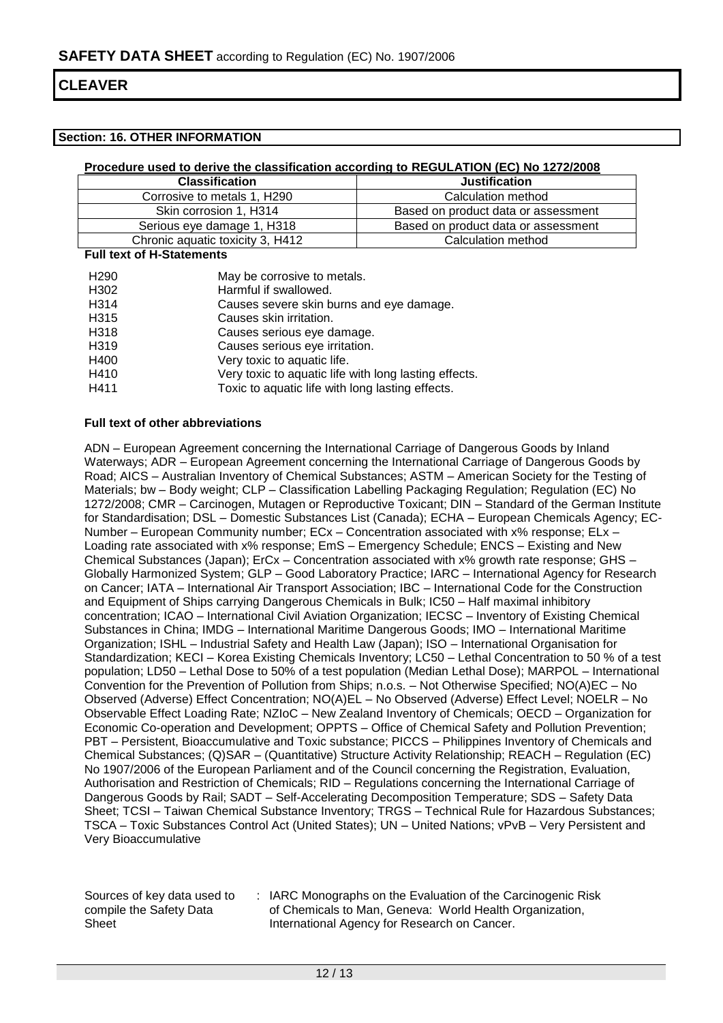### **Section: 16. OTHER INFORMATION**

### **Procedure used to derive the classification according to REGULATION (EC) No 1272/2008**

| <b>Classification</b>            | <b>Justification</b>                |
|----------------------------------|-------------------------------------|
| Corrosive to metals 1, H290      | Calculation method                  |
| Skin corrosion 1, H314           | Based on product data or assessment |
| Serious eye damage 1, H318       | Based on product data or assessment |
| Chronic aquatic toxicity 3, H412 | Calculation method                  |

**Full text of H-Statements**

| H <sub>290</sub>  | May be corrosive to metals.                           |
|-------------------|-------------------------------------------------------|
| H302              | Harmful if swallowed.                                 |
| H <sub>3</sub> 14 | Causes severe skin burns and eye damage.              |
| H315              | Causes skin irritation.                               |
| H318              | Causes serious eye damage.                            |
| H319              | Causes serious eye irritation.                        |
| H400              | Very toxic to aquatic life.                           |
| H410              | Very toxic to aquatic life with long lasting effects. |
| H411              | Toxic to aquatic life with long lasting effects.      |
|                   |                                                       |

#### **Full text of other abbreviations**

ADN – European Agreement concerning the International Carriage of Dangerous Goods by Inland Waterways; ADR – European Agreement concerning the International Carriage of Dangerous Goods by Road; AICS – Australian Inventory of Chemical Substances; ASTM – American Society for the Testing of Materials; bw – Body weight; CLP – Classification Labelling Packaging Regulation; Regulation (EC) No 1272/2008; CMR – Carcinogen, Mutagen or Reproductive Toxicant; DIN – Standard of the German Institute for Standardisation; DSL – Domestic Substances List (Canada); ECHA – European Chemicals Agency; EC-Number – European Community number; ECx – Concentration associated with x% response; ELx – Loading rate associated with x% response; EmS - Emergency Schedule; ENCS - Existing and New Chemical Substances (Japan); ErCx – Concentration associated with x% growth rate response; GHS – Globally Harmonized System; GLP – Good Laboratory Practice; IARC – International Agency for Research on Cancer; IATA – International Air Transport Association; IBC – International Code for the Construction and Equipment of Ships carrying Dangerous Chemicals in Bulk; IC50 – Half maximal inhibitory concentration; ICAO – International Civil Aviation Organization; IECSC – Inventory of Existing Chemical Substances in China; IMDG – International Maritime Dangerous Goods; IMO – International Maritime Organization; ISHL – Industrial Safety and Health Law (Japan); ISO – International Organisation for Standardization; KECI – Korea Existing Chemicals Inventory; LC50 – Lethal Concentration to 50 % of a test population; LD50 – Lethal Dose to 50% of a test population (Median Lethal Dose); MARPOL – International Convention for the Prevention of Pollution from Ships; n.o.s. – Not Otherwise Specified; NO(A)EC – No Observed (Adverse) Effect Concentration; NO(A)EL – No Observed (Adverse) Effect Level; NOELR – No Observable Effect Loading Rate; NZIoC – New Zealand Inventory of Chemicals; OECD – Organization for Economic Co-operation and Development; OPPTS – Office of Chemical Safety and Pollution Prevention; PBT – Persistent, Bioaccumulative and Toxic substance; PICCS – Philippines Inventory of Chemicals and Chemical Substances; (Q)SAR – (Quantitative) Structure Activity Relationship; REACH – Regulation (EC) No 1907/2006 of the European Parliament and of the Council concerning the Registration, Evaluation, Authorisation and Restriction of Chemicals; RID – Regulations concerning the International Carriage of Dangerous Goods by Rail; SADT – Self-Accelerating Decomposition Temperature; SDS – Safety Data Sheet; TCSI – Taiwan Chemical Substance Inventory; TRGS – Technical Rule for Hazardous Substances; TSCA – Toxic Substances Control Act (United States); UN – United Nations; vPvB – Very Persistent and Very Bioaccumulative

Sources of key data used to compile the Safety Data Sheet

: IARC Monographs on the Evaluation of the Carcinogenic Risk of Chemicals to Man, Geneva: World Health Organization, International Agency for Research on Cancer.